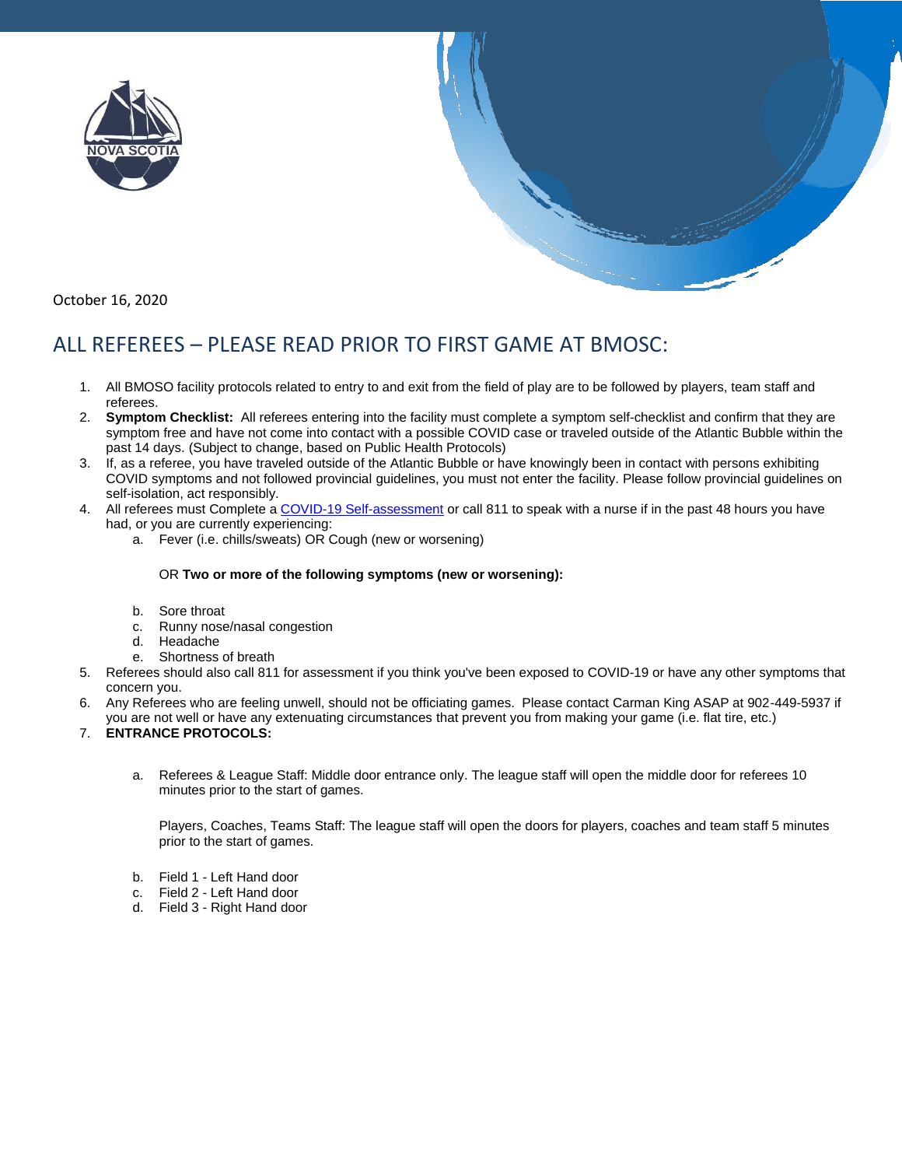



October 16, 2020

## ALL REFEREES – PLEASE READ PRIOR TO FIRST GAME AT BMOSC:

- 1. All BMOSO facility protocols related to entry to and exit from the field of play are to be followed by players, team staff and referees.
- 2. **Symptom Checklist:** All referees entering into the facility must complete a symptom self-checklist and confirm that they are symptom free and have not come into contact with a possible COVID case or traveled outside of the Atlantic Bubble within the past 14 days. (Subject to change, based on Public Health Protocols)
- 3. If, as a referee, you have traveled outside of the Atlantic Bubble or have knowingly been in contact with persons exhibiting COVID symptoms and not followed provincial guidelines, you must not enter the facility. Please follow provincial guidelines on self-isolation, act responsibly.
- 4. All referees must Complete a [COVID-19 Self-assessment](https://covid-self-assessment.novascotia.ca/) or call 811 to speak with a nurse if in the past 48 hours you have had, or you are currently experiencing:
	- a. Fever (i.e. chills/sweats) OR Cough (new or worsening)

## OR **Two or more of the following symptoms (new or worsening):**

- b. Sore throat
- c. Runny nose/nasal congestion
- d. Headache
- e. Shortness of breath
- 5. Referees should also call 811 for assessment if you think you've been exposed to COVID-19 or have any other symptoms that concern you.
- 6. Any Referees who are feeling unwell, should not be officiating games. Please contact Carman King ASAP at 902-449-5937 if you are not well or have any extenuating circumstances that prevent you from making your game (i.e. flat tire, etc.)
- 7. **ENTRANCE PROTOCOLS:**
	- a. Referees & League Staff: Middle door entrance only. The league staff will open the middle door for referees 10 minutes prior to the start of games.

Players, Coaches, Teams Staff: The league staff will open the doors for players, coaches and team staff 5 minutes prior to the start of games.

- b. Field 1 Left Hand door
- c. Field 2 Left Hand door
- d. Field 3 Right Hand door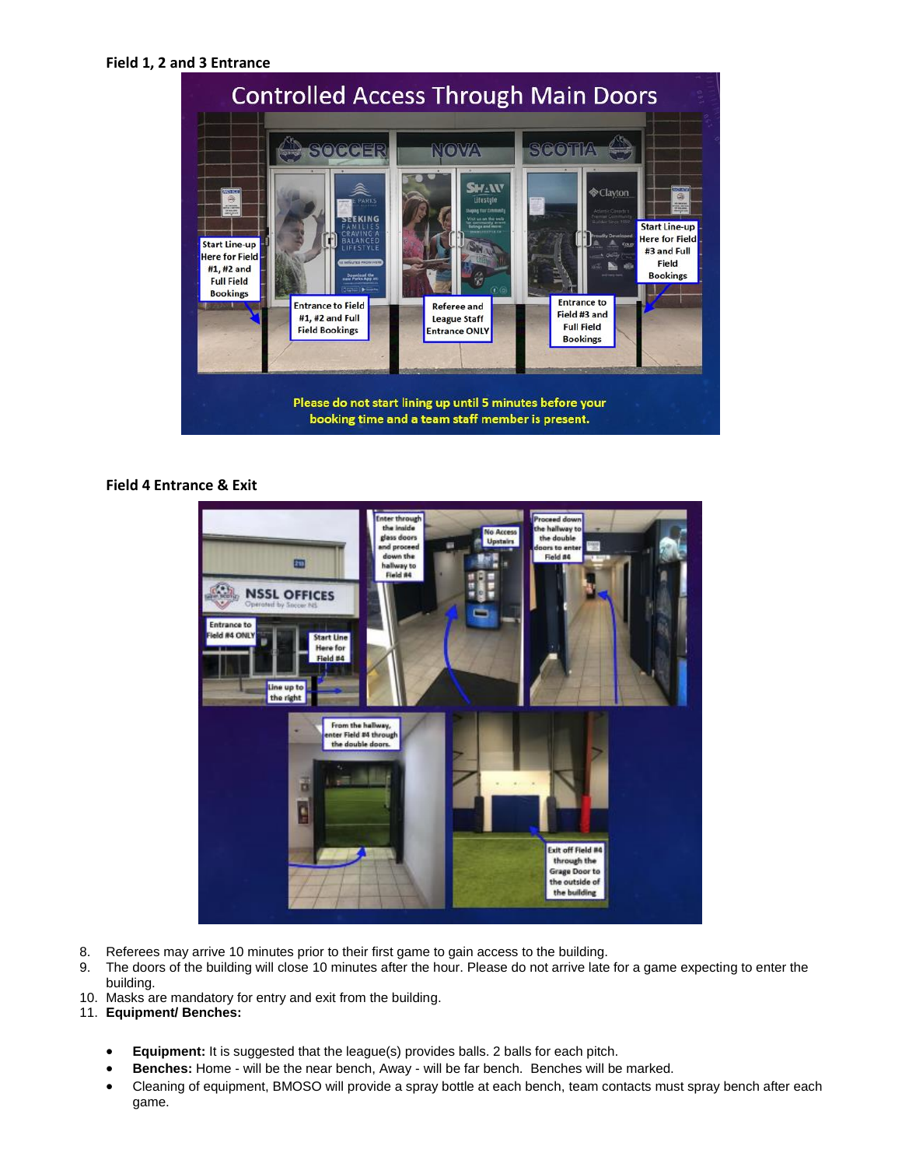

## **Field 4 Entrance & Exit**



- 8. Referees may arrive 10 minutes prior to their first game to gain access to the building.
- 9. The doors of the building will close 10 minutes after the hour. Please do not arrive late for a game expecting to enter the building.
- 10. Masks are mandatory for entry and exit from the building.
- 11. **Equipment/ Benches:**
	- **Equipment:** It is suggested that the league(s) provides balls. 2 balls for each pitch.
	- **Benches:** Home will be the near bench, Away will be far bench. Benches will be marked.
	- Cleaning of equipment, BMOSO will provide a spray bottle at each bench, team contacts must spray bench after each game.